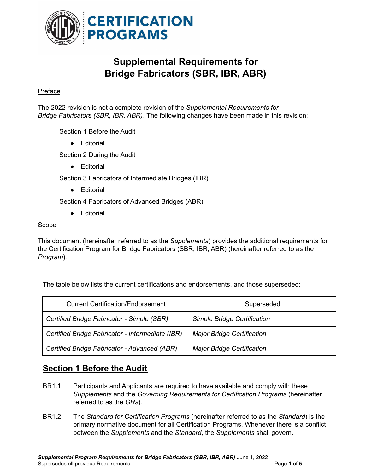

# **Supplemental Requirements for Bridge Fabricators (SBR, IBR, ABR)**

#### Preface

The 2022 revision is not a complete revision of the *Supplemental Requirements for Bridge Fabricators (SBR, IBR, ABR)*. The following changes have been made in this revision:

Section 1 Before the Audit

● Editorial

Section 2 During the Audit

● Editorial

Section 3 Fabricators of Intermediate Bridges (IBR)

● Editorial

Section 4 Fabricators of Advanced Bridges (ABR)

● Editorial

### Scope

This document (hereinafter referred to as the *Supplements*) provides the additional requirements for the Certification Program for Bridge Fabricators (SBR, IBR, ABR) (hereinafter referred to as the *Program*).

The table below lists the current certifications and endorsements, and those superseded:

| <b>Current Certification/Endorsement</b>         | Superseded                         |
|--------------------------------------------------|------------------------------------|
| Certified Bridge Fabricator - Simple (SBR)       | <b>Simple Bridge Certification</b> |
| Certified Bridge Fabricator - Intermediate (IBR) | <b>Major Bridge Certification</b>  |
| Certified Bridge Fabricator - Advanced (ABR)     | <b>Major Bridge Certification</b>  |

## **Section 1 Before the Audit**

- BR1.1 Participants and Applicants are required to have available and comply with these *Supplements* and the *Governing Requirements for Certification Programs* (hereinafter referred to as the *GRs*).
- BR1.2 The *Standard for Certification Programs* (hereinafter referred to as the *Standard*) is the primary normative document for all Certification Programs. Whenever there is a conflict between the *Supplements* and the *Standard*, the *Supplements* shall govern.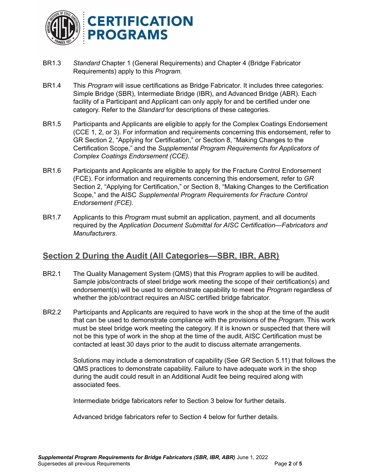

- BR1.3 *Standard* Chapter 1 (General Requirements) and Chapter 4 (Bridge Fabricator Requirements) apply to this *Program.*
- BR1.4 This *Program* will issue certifications as Bridge Fabricator. It includes three categories: Simple Bridge (SBR), Intermediate Bridge (IBR), and Advanced Bridge (ABR). Each facility of a Participant and Applicant can only apply for and be certified under one category. Refer to the *Standard* for descriptions of these categories.
- BR1.5 Participants and Applicants are eligible to apply for the Complex Coatings Endorsement (CCE 1, 2, or 3). For information and requirements concerning this endorsement, refer to GR Section 2, "Applying for Certification," or Section 8, "Making Changes to the Certification Scope," and the *Supplemental Program Requirements for Applicators of Complex Coatings Endorsement (CCE).*
- BR1.6 Participants and Applicants are eligible to apply for the Fracture Control Endorsement (FCE). For information and requirements concerning this endorsement, refer to *GR* Section 2, "Applying for Certification," or Section 8, "Making Changes to the Certification Scope," and the AISC *Supplemental Program Requirements for Fracture Control Endorsement (FCE).*
- BR1.7 Applicants to this *Program* must submit an application, payment, and all documents required by the *Application Document Submittal for AISC Certification—Fabricators and Manufacturers*.

### **Section 2 During the Audit (All Categories—SBR, IBR, ABR)**

- BR2.1 The Quality Management System (QMS) that this *Program* applies to will be audited. Sample jobs/contracts of steel bridge work meeting the scope of their certification(s) and endorsement(s) will be used to demonstrate capability to meet the *Program* regardless of whether the job/contract requires an AISC certified bridge fabricator.
- BR2.2 Participants and Applicants are required to have work in the shop at the time of the audit that can be used to demonstrate compliance with the provisions of the *Program*. This work must be steel bridge work meeting the category. If it is known or suspected that there will not be this type of work in the shop at the time of the audit, AISC Certification must be contacted at least 30 days prior to the audit to discuss alternate arrangements.

Solutions may include a demonstration of capability (See *GR* Section 5.11) that follows the QMS practices to demonstrate capability. Failure to have adequate work in the shop during the audit could result in an Additional Audit fee being required along with associated fees.

Intermediate bridge fabricators refer to Section 3 below for further details.

Advanced bridge fabricators refer to Section 4 below for further details.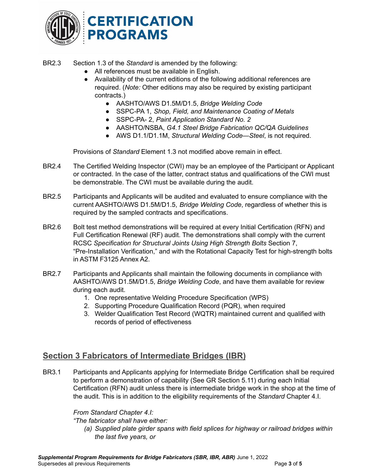

BR2.3 Section 1.3 of the *Standard* is amended by the following:

- All references must be available in English.
- Availability of the current editions of the following additional references are required. (*Note:* Other editions may also be required by existing participant contracts.)
	- *●* AASHTO/AWS D1.5M/D1.5, *Bridge Welding Code*
	- *●* SSPC-PA 1, *Shop, Field, and Maintenance Coating of Metals*
	- *●* SSPC-PA- 2, *Paint Application Standard No. 2*
	- *●* AASHTO/NSBA, *G4.1 Steel Bridge Fabrication QC/QA Guidelines*
	- AWS D1.1/D1.1M, *Structural Welding Code—Steel*, is not required.

Provisions of *Standard* Element 1.3 not modified above remain in effect.

- BR2.4 The Certified Welding Inspector (CWI) may be an employee of the Participant or Applicant or contracted. In the case of the latter, contract status and qualifications of the CWI must be demonstrable. The CWI must be available during the audit.
- BR2.5 Participants and Applicants will be audited and evaluated to ensure compliance with the current AASHTO/AWS D1.5M/D1.5, *Bridge Welding Code*, regardless of whether this is required by the sampled contracts and specifications.
- BR2.6 Bolt test method demonstrations will be required at every Initial Certification (RFN) and Full Certification Renewal (RF) audit. The demonstrations shall comply with the current RCSC *Specification for Structural Joints Using High Strength Bolts* Section 7, "Pre-Installation Verification," and with the Rotational Capacity Test for high-strength bolts in ASTM F3125 Annex A2.
- BR2.7 Participants and Applicants shall maintain the following documents in compliance with AASHTO/AWS D1.5M/D1.5, *Bridge Welding Code*, and have them available for review during each audit.
	- 1. One representative Welding Procedure Specification (WPS)
	- 2. Supporting Procedure Qualification Record (PQR), when required
	- 3. Welder Qualification Test Record (WQTR) maintained current and qualified with records of period of effectiveness

### **Section 3 Fabricators of Intermediate Bridges (IBR)**

BR3.1 Participants and Applicants applying for Intermediate Bridge Certification shall be required to perform a demonstration of capability (See GR Section 5.11) during each Initial Certification (RFN) audit unless there is intermediate bridge work in the shop at the time of the audit. This is in addition to the eligibility requirements of the *Standard* Chapter 4.I.

#### *From Standard Chapter 4.I:*

*"The fabricator shall have either:*

*(a) Supplied plate girder spans with field splices for highway or railroad bridges within the last five years, or*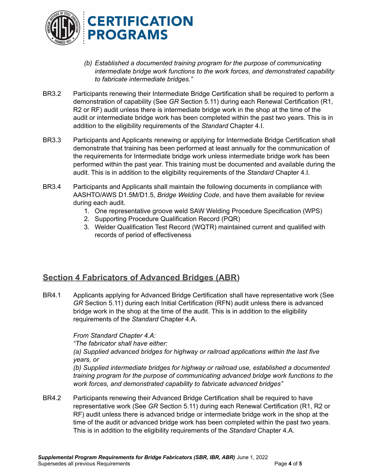

- *(b) Established a documented training program for the purpose of communicating intermediate bridge work functions to the work forces, and demonstrated capability to fabricate intermediate bridges."*
- BR3.2 Participants renewing their Intermediate Bridge Certification shall be required to perform a demonstration of capability (See *GR* Section 5.11) during each Renewal Certification (R1, R2 or RF) audit unless there is intermediate bridge work in the shop at the time of the audit or intermediate bridge work has been completed within the past two years. This is in addition to the eligibility requirements of the *Standard* Chapter 4.I.
- BR3.3 Participants and Applicants renewing or applying for Intermediate Bridge Certification shall demonstrate that training has been performed at least annually for the communication of the requirements for Intermediate bridge work unless intermediate bridge work has been performed within the past year. This training must be documented and available during the audit. This is in addition to the eligibility requirements of the *Standard* Chapter 4.I.
- BR3.4 Participants and Applicants shall maintain the following documents in compliance with AASHTO/AWS D1.5M/D1.5, *Bridge Welding Code*, and have them available for review during each audit.
	- 1. One representative groove weld SAW Welding Procedure Specification (WPS)
	- 2. Supporting Procedure Qualification Record (PQR)
	- 3. Welder Qualification Test Record (WQTR) maintained current and qualified with records of period of effectiveness

### **Section 4 Fabricators of Advanced Bridges (ABR)**

BR4.1 Applicants applying for Advanced Bridge Certification shall have representative work (See *GR* Section 5.11) during each Initial Certification (RFN) audit unless there is advanced bridge work in the shop at the time of the audit. This is in addition to the eligibility requirements of the *Standard* Chapter 4.A.

#### *From Standard Chapter 4.A:*

*"The fabricator shall have either:*

*(a) Supplied advanced bridges for highway or railroad applications within the last five years, or*

*(b) Supplied intermediate bridges for highway or railroad use, established a documented training program for the purpose of communicating advanced bridge work functions to the work forces, and demonstrated capability to fabricate advanced bridges"*

BR4.2 Participants renewing their Advanced Bridge Certification shall be required to have representative work (See *GR* Section 5.11) during each Renewal Certification (R1, R2 or RF) audit unless there is advanced bridge or intermediate bridge work in the shop at the time of the audit or advanced bridge work has been completed within the past two years. This is in addition to the eligibility requirements of the *Standard* Chapter 4.A.